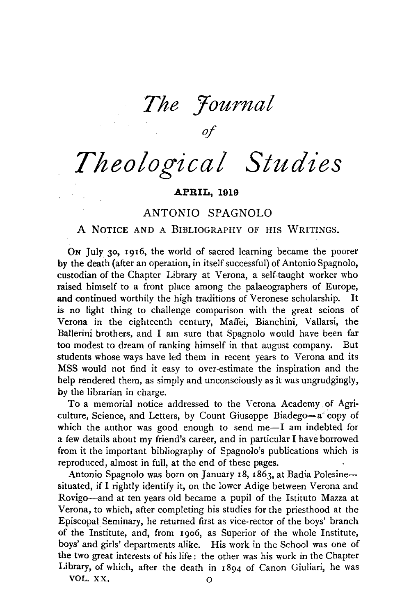*The Yournal of* 

*Theological Studies* 

#### APRIL, 1919

## ANTONIO SPAGNOLO

## A NOTICE AND A BIBLIOGRAPHY OF HIS WRITINGS.

ON July 30, 1916, the world of sacred learning became the poorer by the death (after an operation, in itself successful) of Antonio Spagnolo, custodian of the Chapter Library at Verona, a self-taught worker who raised himself to a front place among the palaeographers of Europe, and continued worthily the high traditions of Veronese scholarship. It is no light thing to challenge comparison with the great scions of Verona in the eighteenth century, Maffei, Bianchini, Vallarsi, the Ballerini brothers, and I am sure that Spagnolo would have been far too modest to dream of ranking himself in that august company. But students whose ways have led them in recent years to Verona and its MSS would not find it easy to over-estimate the inspiration and the help rendered them, as simply and unconsciously as it was ungrudgingly, by the librarian in charge.

To a memorial notice addressed to the Verona Academy of Agri· culture, Science, and Letters, by Count Giuseppe Biadego-a copy of which the author was good enough to send me-I am indebted for a few details about my friend's career, and in particular I have borrowed from it the important bibliography of Spagnolo's publications which is reproduced, almost in full, at the end of these pages.

Antonio Spagnolo was born on January 18, 1863, at Badia Polesinesituated, if I rightly identify it, on the lower Adige between Verona and Rovigo-and at ten years old became a pupil of the Istituto Mazza at Verona, to which, after completing his studies for the priesthood at the Episcopal Seminary, he returned first as vice-rector of the boys' branch of the Institute, and, from 19o6, as Superior of the whole Institute, boys' and girls' departments alike. His work in the School was one of the two great interests of his life : the other was his work in the Chapter Library, of which, after the death in 1894 of Canon Giuliari, he was VOL. XX. 0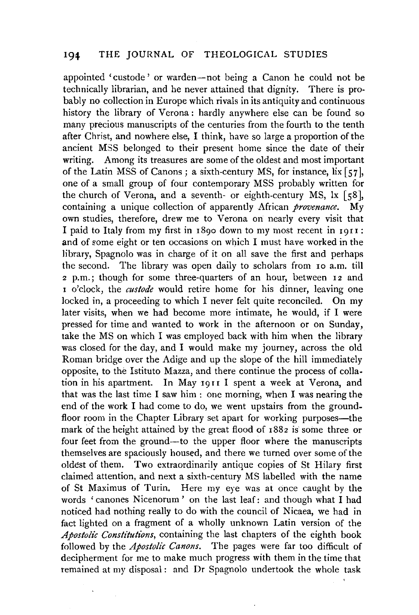appointed 'custode' or warden-not being a Canon he could not be technically librarian, and he never attained that dignity. There is probably no collection in Europe which rivals in its antiquity and continuous history the library of Verona : hardly anywhere else can be found so many precious manuscripts of the centuries from the fourth to the tenth after Christ, and nowhere else, I think, have so large a proportion of the ancient MSS belonged to their present home since the date of their writing. Among its treasures are some of the oldest and most important of the Latin MSS of Canons; a sixth-century MS, for instance,  $\overline{\text{lix}}$  [57], one of a small group of four contemporary MSS probably written for the church of Verona, and a seventh- or eighth-century MS,  $\vert x \vert$  [58], containing a unique collection of apparently African *provenance.* My own studies, therefore, drew me to Verona on nearly every visit that I paid to Italy from my first in 1890 down to my most recent in 1911: and of some eight or ten occasions on which I must have worked in the library, Spagnolo was in charge of it on all save the first and perhaps the second. The library was open daily to scholars from 10 a.m. till 2 p.m.; though for some three-quarters of an hour, between 12 and <sup>I</sup>o'clock, the *custode* would retire home for his dinner, leaving one locked in, a proceeding to which I never felt quite reconciled. On my later visits, when we had become more intimate, he would, if I were pressed for time and wanted to work in the afternoon or on Sunday, take the MS on which I was employed back with him when the library was closed for the day, and I would make my journey, across the old Roman bridge over the Adige and up the slope of the hill immediately opposite, to the Istituto Mazza, and there continue the process of collation in his apartment. In May 1911 I spent a week at Verona, and that was the last time I saw him : one morning, when I was nearing the end of the work I had come to do, we went upstairs from the groundfloor room in the Chapter Library set apart for working purposes—the mark of the height attained by the great flood of  $1882$  is some three or four feet from the ground-to the upper floor where the manuscripts themselves are spaciously housed, and there we turned over some of the oldest of them. Two extraordinarily antique copies of St Hilary first claimed attention, and next a sixth-century MS labelled with the name of St Maximus of Turin. Here my eye was at once caught by the words 'canones Nicenorum' on the last leaf: and though what I had noticed had nothing really to do with the council of Nicaea, we had in fact lighted on a fragment of a wholly unknown Latin version of the *Apostolic Constitutions,* containing the last chapters of the eighth book followed by the *Apostolic Canons.* The pages were far too difficult of decipherment for me to make much progress with them in the time that remained at my disposal : and Dr Spagnolo undertook the whole task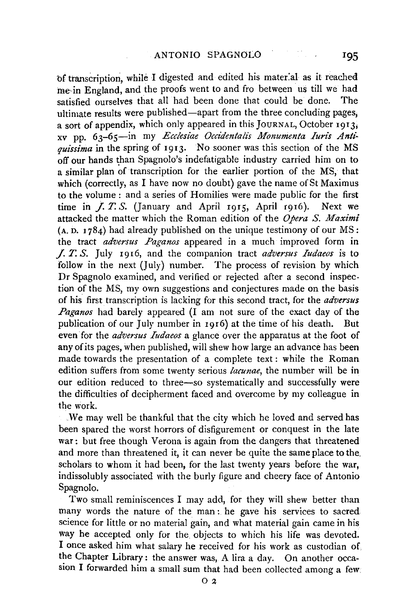bf transcription, while I digested and edited his mater:al as it reached me in England, and the proofs went to and fro between us till we had satisfied ourselves that all had been done that could be done. The ultimate results were published-apart from the three concluding pages; a sort of appendix, which only appeared in this JouRNAL, October 1913; xv pp. 63-65-in my *Ecc!esiae Occidentalis Monumenta Iuris Antiquissima* in the spring of 1913. No sooner was this section of the MS off our hands than Spagnolo's indefatigable industry carried him on to a similar plan of transcription for the earlier portion of the MS, that which (correctly, as I have now no doubt) gave the name of St Maximus to the volume : and a series of Homilies were made public for the first time in  $\overline{f}$ ,  $\overline{T}$ ,  $S$ . (January and April 1915, April 1916). Next we attacked the matter which the Roman edition of the *Opera S. Maximi*  $(A, D, 1784)$  had already published on the unique testimony of our MS: the tract *adversus Paganos* appeared in a much improved form in *.f. T. S.* July 1916, and the companion tract *adversus Iudaeos* is to follow in the next (July) number. The process of revision by which Dr Spagnolo examined, and verified or rejected after a second inspec. tion of the MS, my own suggestions and conjectures made on the basis of his. first transcription is lacking for this second tract, for the *adversus Paganos* had barely appeared (I am not sure of the exact day of the publication of our July number in 1916) at the time of his death. But even for the *adversus Iudaeos* a glance over the apparatus at the foot of any of its pages, when published, will shew how large an advance has been made towards the presentation of a complete text: while the Roman edition suffers from some twenty serious *lacunae,* the number will be in our edition reduced to three-so systematically and successfully were the difficulties of decipherment faced and overcome by my colleague in the work.

. We may well be thankful that the city which he loved and served has been spared the worst horrors of disfigurement or conquest in the late war: but free though Verona is again from the dangers that threatened and more than threatened it, it can never be quite the same place to the. scholars to whom it bad been, for the last twenty years before the war, indissolubly associated with the burly figure and cheery face of Antonio Spagnolo.

Two small reminiscences I may add, for they will shew better than many words the nature of the man : he gave his services to sacred science for little or no material gain, and what material gain came in his way he accepted only for the objects to which his life was devoted. I once asked him what salary he received for his work as custodian of the Chapter Library: the answer was, A lira a day. On another occasion I forwarded him a small sum that bad been collected among a few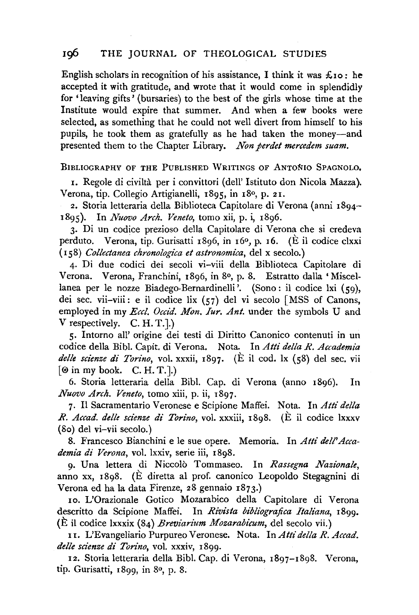# Ig6 THE JOURNAL OF THEOLOGICAL STUDIES

English scholars in recognition of his assistance, I think it was  $\mathcal{L}_{10}$ : he accepted it with gratitude, and wrote that it would come in splendidly for 'leaving gifts' (bursaries) to the best of the girls whose time at the Institute would expire that summer. And when a few books were selected, as something that he could not well divert from himself to his pupils, he took them as gratefully as he had taken the money-and presented them to the Chapter Library. *Non perdet mercedem suam.* 

### BIBLIOGRAPHY OF THE PUBLISHED WRITINGS OF ANTONIO SPAGNOLO,

1. Regole di civilta per i convittori (dell' Istituto don Nicola Mazza). Verona, tip. Collegio Artigianelli, 1895, in 18<sup>0</sup>, p. 21.

2. Storia letteraria della Biblioteca Capitolare di Verona (anni 1894- 1S95). In *Nuovo Arch. Veneto,* tomo xii, p. i, ISg6.

3· Di un codice prezioso della Capitolare di Verona che si credeva perduto. Verona, tip. Gurisatti 1Sg6, in I6°, p. I6. (E il codice clxxi (I sS) *Collectanea chronologica et astronomica,* del X secolo.)

4· Di due codici dei secoli vi-viii della Biblioteca Capitolare di Verona. Verona, Franchini, ISg6, in So, p. S. Estratto dalla 'Miscel· lanea per le nozze Biadego-Bernardinelli '. (Sono: il codice lxi (59), dei sec. vii-viii: e il codice lix  $(57)$  del vi secolo [MSS of Canons, employed in my *Eccl. Occid. Mon. Iur. Ant.* under the symbols U and V respectively. C. H. T.].)

5· Intorno all' origine dei testi di Diritto Canonico contenuti in un codice della Bib!. Capit. di Verona. Nota. In *Atti del/a R. Accademia delle scienze di Torino,* vol. xxxii, IS97· (E il cod. lx (5S) del sec, vii  $[①$  in my book. C. H. T.].

6. Storia letteraria della Bibl. Cap. di Verona (anno I Sg6). In *Nuovo Arch. Veneto,* tomo xiii, p. ii, 1S97.

7· Il Sacramentario Veronese e Scipione Maffei. Nota. In *Atti delta R. Accad. delle scienze di Torino,* vol. xxxiii, ISg8. (E il codice lxxxv (So) del vi-vii secolo.)

8. Francesco Bianchini e le sue opere. Memoria. In *Atti dell'Accademia di Verona,* vol. lxxiv, serie iii, I8gS.

9· Una lettera di Niccolo Tommaseo. In *Rassegna Nazionale,*  anno xx, 1898. (E diretta al prof. canonico Leopoldo Stegagnini di Verona ed ha la data Firenze, 28 gennaio 1S73.)

10. L'Orazionale Gotico Mozarabico della Capitolare di Verona descritto da Scipione Maffei. In *Rivista bibliograjica Italiana,* 1Sgg. (E il codice lxxxix (84) *Breviarium Mozarabicum,* del secolo vii.)

11. L'Evangeliario Purpureo Veronese. Nota. In Atti della R. Accad. *delle scienze di Torino,* vol. xxxiv, 1899.

I2. Storia letteraria della Bib!. Cap. di Verona, I897-18gS. Verona, tip. Gurisatti, 1899, in 80, p. 8.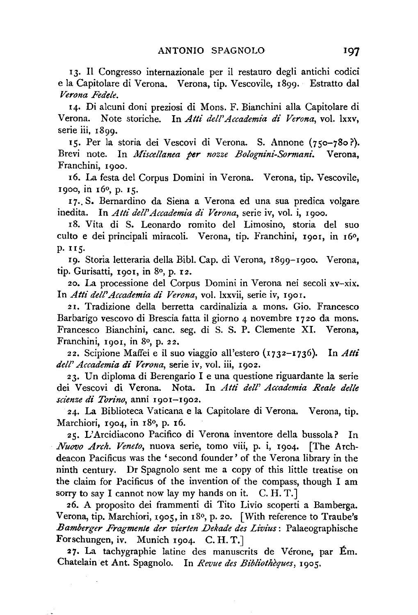13. Il Congresso internazionale per il restauro degli antichi codici e la Capitolare di Verona. Verona, tip. Vescovile, 1899. Estratto dal *Verona Fedele.* 

14· Di alcuni doni preziosi di Mons. F. Bianchini alia Capitolare di Verona. Note storiche. In *Atti dell'Accademia di Verona,* vol. lxxv, serie iii, 1899.

15. Per la storia dei Vescovi di Verona. S. Annone (750-780?). Brevi note. In *Jlfiscellanea per nozze Bolognini-Sormani.* Verona, Franchini, I900.

I6, La festa del Corpus Domini in Verona. Verona, tip. Vescovile, I9oo, in I6o, p. 15.

I7 .. S. Bernardino da Siena a Verona ed una sua predica volgare inedita. In *Atti dell'Accademia di Verona,* serie iv, vol. i, I9oo.

Ig, Vita di S. Leonardo romito del Limosino, storia del suo culto e dei principali miracoli. Verona, tip. Franchini, 1901, in 16<sup>0</sup>, p. 115.

19. Storia letteraria della Bibl. Cap. di Verona, 1899-1900. Verona, tip. Gurisatti, 1901, in 8º, p. 12.

20, La processione del Corpus Domini in Verona nei secoli xv-xix. In *Atti dell'Accademia di Verona,* vol. lxxvii, serie iv, I90I.

2 I. Tradizione della berretta cardinalizia a mons. Gio. Francesco Barbarigo vescovo di Brescia fatta il giorno 4 novembre 1720 da mons. Francesco Bianchini, cane. seg. di S. S. P. Clemente XI. Verona, Franchini, 1001, in 8<sup>0</sup>, p. 22.

22. Scipione Maffei e il suo viaggio all'estero (I732-1736). In *Atti dell' Accademia di Verona,* serie iv, vol. iii, I9o2.

23. Un diploma di Berengario I e una questione riguardante la serie dei Vescovi di Verona. Nota. In *Atti dell' Accademia .Reale delle scienze di Torino,* anni I901-I9o2.

24. La Biblioteca Vaticana e la Capitolare di Verona. Verona, tip. Marchiori, 1904, in 18<sup>0</sup>, p. 16.

25. L'Arcidiacono Pacifico di Verona inventore della bussola? In *Nuovo Arch. Veneto,* nuova serie, tomo viii, p. i, I904. [The Archdeacon Pacificus was the 'second founder' of the Verona library in the ninth century. Dr Spagnolo sent me a copy of this little treatise on the claim for Pacificus of the invention of the compass, though I am sorry to say I cannot now lay my hands on it. C. H. T.

26. A proposito dei frammenti di Tito Livio scoperti a Bamberga. Verona, tip. Marchiori, 1905, in 18º, p. 20. [With reference to Traube's *Bamberger Fragmenle der vier/en Dekade des Livius:* Palaeographische Forschungen, iv. Munich I904. C. H. T.]

27. La tachygraphie latine des manuscrits de Verone, par Em. Chatelain et Ant. Spagnolo. In *Revue des Biblt'otheques,* I905.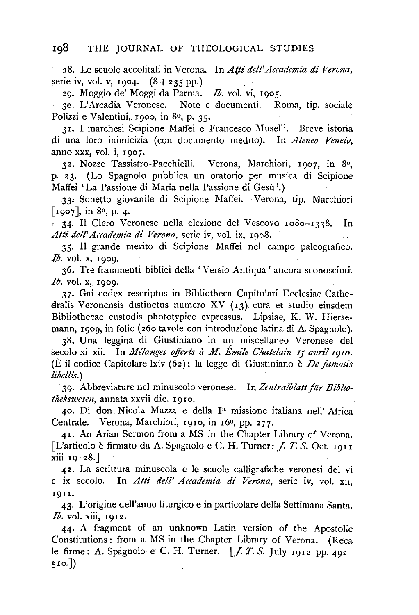2S. Le scuole accolitali in Verona. In *Atti dell'Accademia di Verona,*  serie iv, vol. v, 1904.  $(8 + 235 \text{ pp.})$ 

29. Moggio de' Moggi da Parma. *Ib.* vol. vi, I905.

30. L'Arcadia Veronese. Note e documenti. Roma, tip. sociale Polizzi e Valentini, 1900, in 8º, p. 35.

31. I marchesi Scipione Maffei e Francesco Muselli. Breve istoria di una loro inimicizia (con documento inedito). In *Ateneo Veneto,*  anno xxx, vol. i, I907.

32. Nozze Tassistro-Pacchielli. Verona, Marchiori, 1907, in 8<sup>0</sup>; p. 23. (Lo Spagnolo pubblica un oratorio per musica di Scipione Maffei 'La Passione di Maria nella Passione di Gesu '.)

33• Sonetto giovanile di Scipione Maffei. Verona, tip. Marchiori [ $1907$ ], in 8<sup>0</sup>, p. 4.

 $\epsilon$  34. Il Clero Veronese nella elezione del Vescovo 1080–1338. In *Atti dell'Accademia di Verona,* serie iv, vol. ix, I9oS.

35· Il grande merito di Scipione Maffei ne! campo paleografico. *Ib.* vol. x, 1909.

36. Tre frammenti biblici della 'Versio Antiqua' ancora sconosciuti. *Ib.* vol. x, 1909.

3 7. Gai codex rescriptus in Bibliotheca Capitulari Ecclesiae Cathedralis Veronensis distinctus numero XV  $(13)$  cura et studio eiusdem Bibliothecae custodis phototypice expressus. Lipsiae, K. W. Hierse mann. 1909, in folio (260 tavole con introduzione latina di A. Spagnolo).

38. Una leggina di Giustiniano in un miscellanea Veronese del secolo xi-xii. In *Mélanges offerts à M. Émile Chatelain 15 avril 1910*. (E il codice Capitolare lxiv (62): la legge di Giustiniano e *De jamosis libelli's.)* 

39· Abbreviature nel minuscolo veronese. In *Zentralblatt fiir Bibliothekswesen,* annata xxvii die. I9IO.

40. Di don Nicola Mazza e della Ia missione italiana nell' Africa Centrale. Verona, Marchiori, I9Io, in r6°, pp. 277.

41. An Arian Sermon from a MS in the Chapter Library of Verona. [L'articolo è firmato da A. Spagnolo e C. H. Turner: *J. T. S. Oct.* 1911 xiii 19-2S.]

42. La scrittura minuscola e le scuole calligrafiche veronesi del vi e ix secolo. In *Atti dell' Accademia di Verona,* serie iv, vol. xii, I9II.

43· L'origine dell'anno liturgico e in particolare della Settimana Santa. *Ib.* vol. xiii, 1912.

44• A fragment of an unknown Latin version of the Apostolic Constitutions : from a MS in the Chapter Library of Verona. (Reca le firme: A. Spagnolo e C. H. Turner. [J. *T. S.* July 1912 pp. 492- 5 Io.])